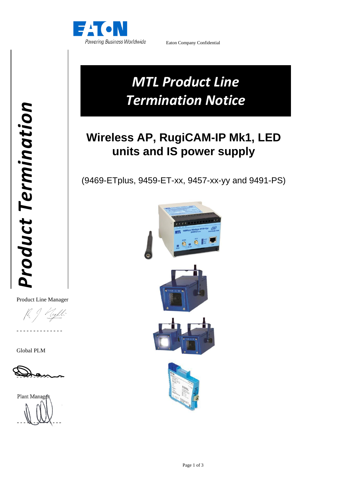

Eaton Company Confidential

# *MTL Product Line Termination Notice*

# **Wireless AP, RugiCAM-IP Mk1, LED units and IS power supply**

(9469-ETplus, 9459-ET-xx, 9457-xx-yy and 9491-PS)



Product Line Manager

- - - - - - - - - - - - - -

Global PLM



Plant Manage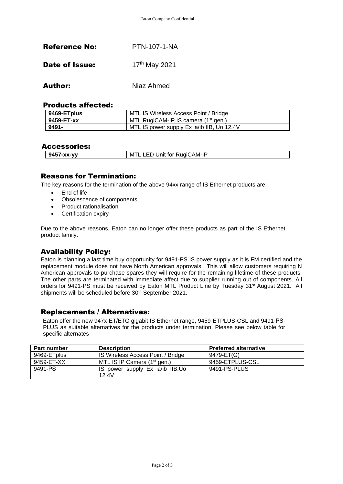| <b>Reference No:</b>  | <b>PTN-107-1-NA</b> |
|-----------------------|---------------------|
| <b>Date of Issue:</b> | 17th May 2021       |

Author: Niaz Ahmed

#### Products affected:

| 9469-ETplus | MTL IS Wireless Access Point / Bridge      |  |
|-------------|--------------------------------------------|--|
| 9459-ET-xx  | MTL RugiCAM-IP IS camera $(1st$ gen.)      |  |
| 9491-       | MTL IS power supply Ex ia/ib IIB, Uo 12.4V |  |

#### Accessories:

| 9457-хх-уу | Unit for RugiCAM-IP<br>M<br>$-1$ |
|------------|----------------------------------|

# Reasons for Termination:

The key reasons for the termination of the above 94xx range of IS Ethernet products are:

- End of life
- Obsolescence of components
- Product rationalisation
- Certification expiry

Due to the above reasons, Eaton can no longer offer these products as part of the IS Ethernet product family.

# Availability Policy:

Eaton is planning a last time buy opportunity for 9491-PS IS power supply as it is FM certified and the replacement module does not have North American approvals. This will allow customers requiring N American approvals to purchase spares they will require for the remaining lifetime of these products. The other parts are terminated with immediate affect due to supplier running out of components. All orders for 9491-PS must be received by Eaton MTL Product Line by Tuesday 31st August 2021. All shipments will be scheduled before 30<sup>th</sup> September 2021.

# Replacements / Alternatives:

PLUS as suitable alternatives for the products under termination. Please see below table for specific alternates-Eaton offer the new 947x-ET/ETG gigabit IS Ethernet range, 9459-ETPLUS-CSL and 9491-PS-

| <b>Part number</b> | <b>Description</b>                | <b>Preferred alternative</b> |
|--------------------|-----------------------------------|------------------------------|
| 9469-ETplus        | IS Wireless Access Point / Bridge | 9479-ET(G)                   |
| 9459-ET-XX         | MTL IS IP Camera $(1st$ gen.)     | 9459-ETPLUS-CSL              |
| 9491-PS            | IS power supply Ex ia/ib IIB, Uo  | 9491-PS-PLUS                 |
|                    | 12.4V                             |                              |